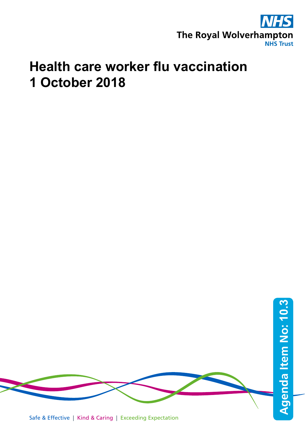

## **Health care worker flu vaccination 1 October 2018**



Safe & Effective | Kind & Caring | Exceeding Expectation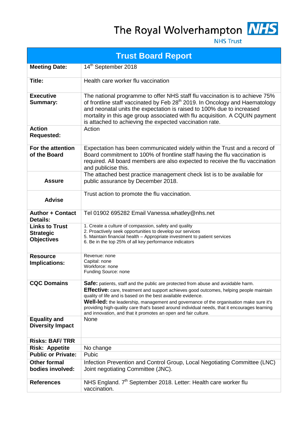The Royal Wolverhampton MHS



**NHS Trust** 

| <b>Trust Board Report</b>                                      |                                                                                                                                                                                                                                                                                                                                                                                                                                                                                                                 |  |  |  |
|----------------------------------------------------------------|-----------------------------------------------------------------------------------------------------------------------------------------------------------------------------------------------------------------------------------------------------------------------------------------------------------------------------------------------------------------------------------------------------------------------------------------------------------------------------------------------------------------|--|--|--|
| <b>Meeting Date:</b>                                           | 14 <sup>th</sup> September 2018                                                                                                                                                                                                                                                                                                                                                                                                                                                                                 |  |  |  |
| Title:                                                         | Health care worker flu vaccination                                                                                                                                                                                                                                                                                                                                                                                                                                                                              |  |  |  |
| <b>Executive</b><br><b>Summary:</b>                            | The national programme to offer NHS staff flu vaccination is to achieve 75%<br>of frontline staff vaccinated by Feb 28 <sup>th</sup> 2019. In Oncology and Haematology<br>and neonatal units the expectation is raised to 100% due to increased<br>mortality in this age group associated with flu acquisition. A CQUIN payment<br>is attached to achieving the expected vaccination rate.                                                                                                                      |  |  |  |
| <b>Action</b><br><b>Requested:</b>                             | Action                                                                                                                                                                                                                                                                                                                                                                                                                                                                                                          |  |  |  |
| For the attention<br>of the Board                              | Expectation has been communicated widely within the Trust and a record of<br>Board commitment to 100% of frontline staff having the flu vaccination is<br>required. All board members are also expected to receive the flu vaccination<br>and publicise this.                                                                                                                                                                                                                                                   |  |  |  |
| <b>Assure</b>                                                  | The attached best practice management check list is to be available for<br>public assurance by December 2018.                                                                                                                                                                                                                                                                                                                                                                                                   |  |  |  |
| <b>Advise</b>                                                  | Trust action to promote the flu vaccination.                                                                                                                                                                                                                                                                                                                                                                                                                                                                    |  |  |  |
| <b>Author + Contact</b><br>Details:                            | Tel 01902 695282 Email Vanessa.whatley@nhs.net                                                                                                                                                                                                                                                                                                                                                                                                                                                                  |  |  |  |
| <b>Links to Trust</b><br><b>Strategic</b><br><b>Objectives</b> | 1. Create a culture of compassion, safety and quality<br>2. Proactively seek opportunities to develop our services<br>5. Maintain financial health – Appropriate investment to patient services<br>6. Be in the top 25% of all key performance indicators                                                                                                                                                                                                                                                       |  |  |  |
| <b>Resource</b><br>Implications:                               | Revenue: none<br>Capital: none<br>Workforce: none<br>Funding Source: none                                                                                                                                                                                                                                                                                                                                                                                                                                       |  |  |  |
| <b>CQC Domains</b>                                             | Safe: patients, staff and the public are protected from abuse and avoidable harm.<br><b>Effective:</b> care, treatment and support achieves good outcomes, helping people maintain<br>quality of life and is based on the best available evidence.<br>Well-led: the leadership, management and governance of the organisation make sure it's<br>providing high-quality care that's based around individual needs, that it encourages learning<br>and innovation, and that it promotes an open and fair culture. |  |  |  |
| <b>Equality and</b><br><b>Diversity Impact</b>                 | <b>None</b>                                                                                                                                                                                                                                                                                                                                                                                                                                                                                                     |  |  |  |
| <b>Risks: BAF/TRR</b>                                          |                                                                                                                                                                                                                                                                                                                                                                                                                                                                                                                 |  |  |  |
| <b>Risk: Appetite</b>                                          | No change                                                                                                                                                                                                                                                                                                                                                                                                                                                                                                       |  |  |  |
| <b>Public or Private:</b>                                      | Pubic                                                                                                                                                                                                                                                                                                                                                                                                                                                                                                           |  |  |  |
| <b>Other formal</b><br>bodies involved:                        | Infection Prevention and Control Group, Local Negotiating Committee (LNC)<br>Joint negotiating Committee (JNC).                                                                                                                                                                                                                                                                                                                                                                                                 |  |  |  |
| <b>References</b>                                              | NHS England. 7 <sup>th</sup> September 2018. Letter: Health care worker flu<br>vaccination.                                                                                                                                                                                                                                                                                                                                                                                                                     |  |  |  |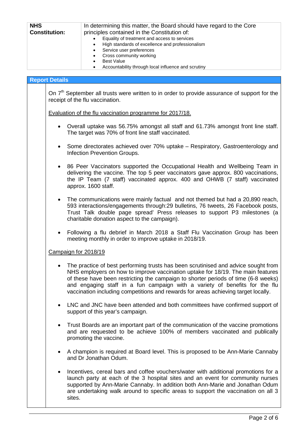| <b>NHS</b>           | In determining this matter, the Board should have regard to the Core |  |
|----------------------|----------------------------------------------------------------------|--|
| <b>Constitution:</b> | principles contained in the Constitution of:                         |  |
|                      | Equality of treatment and access to services<br>$\bullet$            |  |
|                      | High standards of excellence and professionalism<br>$\bullet$        |  |
|                      | Service user preferences<br>$\bullet$                                |  |
|                      | Cross community working<br>$\bullet$                                 |  |
|                      | <b>Best Value</b>                                                    |  |
|                      | Accountability through local influence and scrutiny                  |  |
|                      |                                                                      |  |

## **Report Details**

On 7<sup>th</sup> September all trusts were written to in order to provide assurance of support for the receipt of the flu vaccination.

Evaluation of the flu vaccination programme for 2017/18.

- Overall uptake was 56.75% amongst all staff and 61.73% amongst front line staff. The target was 70% of front line staff vaccinated.
- Some directorates achieved over 70% uptake Respiratory, Gastroenterology and Infection Prevention Groups.
- 86 Peer Vaccinators supported the Occupational Health and Wellbeing Team in delivering the vaccine. The top 5 peer vaccinators gave approx. 800 vaccinations, the IP Team (7 staff) vaccinated approx. 400 and OHWB (7 staff) vaccinated approx. 1600 staff.
- The communications were mainly factual and not themed but had a 20,890 reach, 593 interactions/engagements through:29 bulletins, 76 tweets, 26 Facebook posts, Trust Talk double page spread' Press releases to support P3 milestones (a charitable donation aspect to the campaign).
- Following a flu debrief in March 2018 a Staff Flu Vaccination Group has been meeting monthly in order to improve uptake in 2018/19.

## Campaign for 2018/19

- The practice of best performing trusts has been scrutinised and advice sought from NHS employers on how to improve vaccination uptake for 18/19. The main features of these have been restricting the campaign to shorter periods of time (6-8 weeks) and engaging staff in a fun campaign with a variety of benefits for the flu vaccination including competitions and rewards for areas achieving target locally.
- LNC and JNC have been attended and both committees have confirmed support of support of this year's campaign.
- Trust Boards are an important part of the communication of the vaccine promotions and are requested to be achieve 100% of members vaccinated and publically promoting the vaccine.
- A champion is required at Board level. This is proposed to be Ann-Marie Cannaby and Dr Jonathan Odum.
- Incentives, cereal bars and coffee vouchers/water with additional promotions for a launch party at each of the 3 hospital sites and an event for community nurses supported by Ann-Marie Cannaby. In addition both Ann-Marie and Jonathan Odum are undertaking walk around to specific areas to support the vaccination on all 3 sites.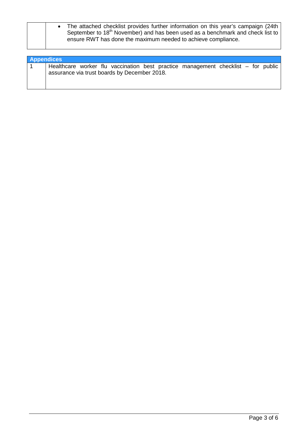|  | The attached checklist provides further information on this year's campaign (24th)<br>September to 18 <sup>th</sup> November) and has been used as a benchmark and check list to<br>ensure RWT has done the maximum needed to achieve compliance. |
|--|---------------------------------------------------------------------------------------------------------------------------------------------------------------------------------------------------------------------------------------------------|
|  |                                                                                                                                                                                                                                                   |

| <b>Appendices</b> |                                                                                   |  |  |  |  |  |  |  |
|-------------------|-----------------------------------------------------------------------------------|--|--|--|--|--|--|--|
|                   | Healthcare worker flu vaccination best practice management checklist – for public |  |  |  |  |  |  |  |
|                   | assurance via trust boards by December 2018.                                      |  |  |  |  |  |  |  |
|                   |                                                                                   |  |  |  |  |  |  |  |
|                   |                                                                                   |  |  |  |  |  |  |  |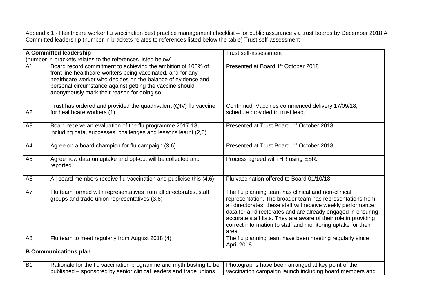Appendix 1 - Healthcare worker flu vaccination best practice management checklist – for public assurance via trust boards by December 2018 A Committed leadership (number in brackets relates to references listed below the table) Trust self-assessment

| A Committed leadership       |                                                                                                                                                                                                                                                                                                        | Trust self-assessment                                                                                                                                                                                                                                                                                                                                                                          |  |
|------------------------------|--------------------------------------------------------------------------------------------------------------------------------------------------------------------------------------------------------------------------------------------------------------------------------------------------------|------------------------------------------------------------------------------------------------------------------------------------------------------------------------------------------------------------------------------------------------------------------------------------------------------------------------------------------------------------------------------------------------|--|
|                              | (number in brackets relates to the references listed below)                                                                                                                                                                                                                                            |                                                                                                                                                                                                                                                                                                                                                                                                |  |
| A <sub>1</sub>               | Board record commitment to achieving the ambition of 100% of<br>front line healthcare workers being vaccinated, and for any<br>healthcare worker who decides on the balance of evidence and<br>personal circumstance against getting the vaccine should<br>anonymously mark their reason for doing so. | Presented at Board 1 <sup>st</sup> October 2018                                                                                                                                                                                                                                                                                                                                                |  |
| A2                           | Trust has ordered and provided the quadrivalent (QIV) flu vaccine<br>for healthcare workers (1).                                                                                                                                                                                                       | Confirmed. Vaccines commenced delivery 17/09/18,<br>schedule provided to trust lead.                                                                                                                                                                                                                                                                                                           |  |
| A <sub>3</sub>               | Board receive an evaluation of the flu programme 2017-18,<br>including data, successes, challenges and lessons learnt (2,6)                                                                                                                                                                            | Presented at Trust Board 1 <sup>st</sup> October 2018                                                                                                                                                                                                                                                                                                                                          |  |
| A4                           | Agree on a board champion for flu campaign (3,6)                                                                                                                                                                                                                                                       | Presented at Trust Board 1 <sup>st</sup> October 2018                                                                                                                                                                                                                                                                                                                                          |  |
| A <sub>5</sub>               | Agree how data on uptake and opt-out will be collected and<br>reported                                                                                                                                                                                                                                 | Process agreed with HR using ESR.                                                                                                                                                                                                                                                                                                                                                              |  |
| A <sub>6</sub>               | All board members receive flu vaccination and publicise this (4,6)                                                                                                                                                                                                                                     | Flu vaccination offered to Board 01/10/18                                                                                                                                                                                                                                                                                                                                                      |  |
| A7                           | Flu team formed with representatives from all directorates, staff<br>groups and trade union representatives (3,6)                                                                                                                                                                                      | The flu planning team has clinical and non-clinical<br>representation. The broader team has representations from<br>all directorates, these staff will receive weekly performance<br>data for all directorates and are already engaged in ensuring<br>accurate staff lists. They are aware of their role in providing<br>correct information to staff and monitoring uptake for their<br>area. |  |
| A <sub>8</sub>               | Flu team to meet regularly from August 2018 (4)                                                                                                                                                                                                                                                        | The flu planning team have been meeting regularly since<br>April 2018                                                                                                                                                                                                                                                                                                                          |  |
| <b>B Communications plan</b> |                                                                                                                                                                                                                                                                                                        |                                                                                                                                                                                                                                                                                                                                                                                                |  |
| <b>B1</b>                    | Rationale for the flu vaccination programme and myth busting to be<br>published - sponsored by senior clinical leaders and trade unions                                                                                                                                                                | Photographs have been arranged at key point of the<br>vaccination campaign launch including board members and                                                                                                                                                                                                                                                                                  |  |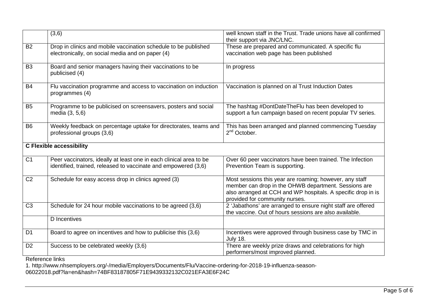|                                 | (3,6)                                                                                                                                | well known staff in the Trust. Trade unions have all confirmed<br>their support via JNC/LNC.                                                                                                                      |
|---------------------------------|--------------------------------------------------------------------------------------------------------------------------------------|-------------------------------------------------------------------------------------------------------------------------------------------------------------------------------------------------------------------|
| <b>B2</b>                       | Drop in clinics and mobile vaccination schedule to be published<br>electronically, on social media and on paper (4)                  | These are prepared and communicated. A specific flu<br>vaccination web page has been published                                                                                                                    |
| <b>B3</b>                       | Board and senior managers having their vaccinations to be<br>publicised (4)                                                          | In progress                                                                                                                                                                                                       |
| <b>B4</b>                       | Flu vaccination programme and access to vaccination on induction<br>programmes (4)                                                   | Vaccination is planned on al Trust Induction Dates                                                                                                                                                                |
| B <sub>5</sub>                  | Programme to be publicised on screensavers, posters and social<br>media (3, 5,6)                                                     | The hashtag #DontDateTheFlu has been developed to<br>support a fun campaign based on recent popular TV series.                                                                                                    |
| <b>B6</b>                       | Weekly feedback on percentage uptake for directorates, teams and<br>professional groups (3,6)                                        | This has been arranged and planned commencing Tuesday<br>$2nd$ October.                                                                                                                                           |
| <b>C Flexible accessibility</b> |                                                                                                                                      |                                                                                                                                                                                                                   |
| C <sub>1</sub>                  | Peer vaccinators, ideally at least one in each clinical area to be<br>identified, trained, released to vaccinate and empowered (3,6) | Over 60 peer vaccinators have been trained. The Infection<br>Prevention Team is supporting.                                                                                                                       |
| C <sub>2</sub>                  | Schedule for easy access drop in clinics agreed (3)                                                                                  | Most sessions this year are roaming; however, any staff<br>member can drop in the OHWB department. Sessions are<br>also arranged at CCH and WP hospitals. A specific drop in is<br>provided for community nurses. |
| $\overline{C3}$                 | Schedule for 24 hour mobile vaccinations to be agreed (3,6)                                                                          | 2 'Jabathons' are arranged to ensure night staff are offered<br>the vaccine. Out of hours sessions are also available.                                                                                            |
|                                 | <b>D</b> Incentives                                                                                                                  |                                                                                                                                                                                                                   |
| D <sub>1</sub>                  | Board to agree on incentives and how to publicise this (3,6)                                                                         | Incentives were approved through business case by TMC in<br><b>July 18.</b>                                                                                                                                       |
| D <sub>2</sub>                  | Success to be celebrated weekly (3,6)                                                                                                | There are weekly prize draws and celebrations for high<br>performers/most improved planned.                                                                                                                       |

Reference links

1. http://www.nhsemployers.org/-/media/Employers/Documents/Flu/Vaccine-ordering-for-2018-19-influenza-season-06022018.pdf?la=en&hash=74BF83187805F71E9439332132C021EFA3E6F24C